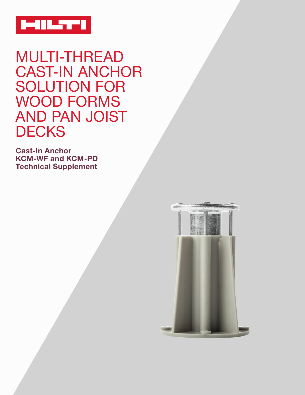

MULTI-THREAD CAST-IN ANCHOR SOLUTION FOR WOOD FORMS AND PAN JOIST **DECKS** 

**Cast-In Anchor KCM-WF and KCM-PD Technical Supplement**

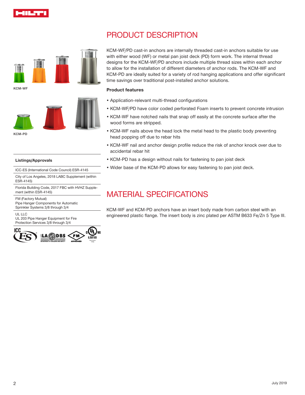

# PRODUCT DESCRIPTION



**KCM-WF**



KCM-WF/PD cast-in anchors are internally threaded cast-in anchors suitable for use with either wood (WF) or metal pan joist deck (PD) form work. The internal thread designs for the KCM-WF/PD anchors include multiple thread sizes within each anchor to allow for the installation of different diameters of anchor rods. The KCM-WF and KCM-PD are ideally suited for a variety of rod hanging applications and offer significant time savings over traditional post-installed anchor solutions.

### **Product features**

- Application-relevant multi-thread configurations
- KCM-WF/PD have color coded perforated Foam inserts to prevent concrete intrusion
- KCM-WF have notched nails that snap off easily at the concrete surface after the wood forms are stripped.
- KCM-WF nails above the head lock the metal head to the plastic body preventing head popping off due to rebar hits
- KCM-WF nail and anchor design profile reduce the risk of anchor knock over due to accidental rebar hit
- KCM-PD has a design without nails for fastening to pan joist deck
- Wider base of the KCM-PD allows for easy fastening to pan joist deck.

# MATERIAL SPECIFICATIONS

KCM-WF and KCM-PD anchors have an insert body made from carbon steel with an engineered plastic flange. The insert body is zinc plated per ASTM B633 Fe/Zn 5 Type III.

#### **Listings/Approvals**

ICC-ES (International Code Council) ESR-4145

City of Los Angeles, 2018 LABC Supplement (within ESR-4145)

Florida Building Code, 2017 FBC with HVHZ Supplement (within ESR-4145)

FM (Factory Mutual) Pipe Hanger Components for Automatic Sprinkler Systems 3/8 through 3/4

UL LLC

UL 203 Pipe Hanger Equipment for Fire Protection Services 3/8 through 3/4

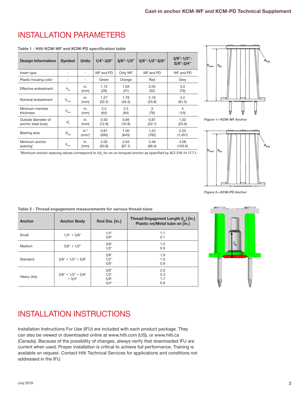# INSTALLATION PARAMETERS

#### **Table 1 - Hilti KCM-WF and KCM-PD specification table**

| <b>Design Information</b>                | <b>Symbol</b>                     | <b>Units</b>                           | $1/4" - 3/8"$  | $3/8" - 1/2"$  | $3/8" - 1/2" - 5/8"$ | $3/8" - 1/2" -$<br>$5/8" - 3/4"$ |
|------------------------------------------|-----------------------------------|----------------------------------------|----------------|----------------|----------------------|----------------------------------|
| Insert type                              |                                   | ٠                                      | WF and PD      | Only WF        | WF and PD            | WF and PD                        |
| Plastic housing color                    | ٠                                 | ٠                                      | Green          | Orange         | Red                  | Grey                             |
| Effective embedment                      | $h_{\scriptscriptstyle eff}$      | in.<br>(mm)                            | 1.12<br>(28)   | 1.63<br>(41)   | 2.04<br>(52)         | 3.0<br>(76)                      |
| Nominal embedment                        | $h_{\scriptscriptstyle nom}$      | in.<br>(mm)                            | 1.27<br>(32.2) | 1.78<br>(45.3) | 2.19<br>(55.6)       | 3.2<br>(81.2)                    |
| Minimum member<br>thickness              | $h_{\min}$                        | in.<br>(mm)                            | 2.5<br>(64)    | 2.5<br>(64)    | 3<br>(76)            | 4<br>(10)                        |
| Outside diameter of<br>anchor steel body | $\boldsymbol{d}_{\boldsymbol{a}}$ | in.<br>(mm)                            | 0.50<br>(12.8) | 0.66<br>(16.9) | 0.87<br>(22.1)       | 1.02<br>(25.9)                   |
| Bearing area                             | $A_{_{brg}}$                      | in. <sup>2</sup><br>(mm <sup>2</sup> ) | 0.91<br>(590)  | 1.00<br>(643)  | 1.23<br>(792)        | 2.25<br>(1,451)                  |
| Minimum anchor<br>spacing                | $\texttt{s}_{\textit{min}}$       | in.<br>(mm)                            | 2.00<br>(50.8) | 2.64<br>(67.1) | 3.48<br>(88.4)       | 4.08<br>(103.6)                  |

 $10$ inimum anchor spacing values correspond to  $4d_a$  for an un-torqued anchor as specified by ACI 318-14 17.7.1.







**Figure 2—KCM-PD Anchor**

| Anchor     | <b>Anchor Body</b>             | Rod Dia. [in.]                  | Thread Engagment Length $(I_{\scriptscriptstyle{tn}})$ [in.]<br>Plastic on/Metal tube on [in.] |
|------------|--------------------------------|---------------------------------|------------------------------------------------------------------------------------------------|
| Small      | $1/4" + 3/8"$                  | 1/4"<br>3/8"                    | 1.1<br>0.7                                                                                     |
| Medium     | $3/8" + 1/2"$                  | 3/8"<br>$1/2$ "                 | 1.5<br>0.9                                                                                     |
| Standard   | $3/8" + 1/2" + 5/8"$           | 3/8"<br>$1/2$ "<br>5/8"         | 1.9<br>1.5<br>0.9                                                                              |
| Heavy duty | $3/8" + 1/2" + 5/8"$<br>+ 3/4" | 3/8"<br>$1/2$ "<br>5/8"<br>3/4" | 2.8<br>2.3<br>1.7<br>0.9                                                                       |

**Table 2 - Thread engagement measurements for various thread sizes**



## INSTALLATION INSTRUCTIONS

Installation Instructions For Use (IFU) are included with each product package. They can also be viewed or downloaded online at www.hilti.com (US), or www.hilti.ca (Canada). Because of the possibility of changes, always verify that downloaded IFU are current when used. Proper installation is critical to achieve full performance. Training is available on request. Contact Hilti Technical Services for applications and conditions not addressed in the IFU.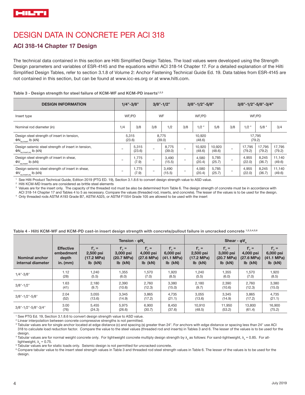# DESIGN DATA IN CONCRETE PER ACI 318

## **ACI 318-14 Chapter 17 Design**

The technical data contained in this section are Hilti Simplified Design Tables. The load values were developed using the Strength Design parameters and variables of ESR-4145 and the equations within ACI 318-14 Chapter 17. For a detailed explanation of the Hilti Simplified Design Tables, refer to section 3.1.8 of Volume 2: Anchor Fastening Technical Guide Ed. 19. Data tables from ESR-4145 are not contained in this section, but can be found at www.icc-es.org or at www.hilti.com.

Table 3 - Design strength for steel failure of KCM-WF and KCM-PD inserts<sup>1,2,3</sup>

| <b>DESIGN INFORMATION</b>                                                                     | $1/4" - 3/8"$   |                 | $3/8" - 1/2"$   |                 | $3/8" - 1/2" - 5/8"$ |                  |                  | 3/8"-1/2"-5/8"-3/4" |                  |                  |                  |  |
|-----------------------------------------------------------------------------------------------|-----------------|-----------------|-----------------|-----------------|----------------------|------------------|------------------|---------------------|------------------|------------------|------------------|--|
| Insert type                                                                                   | WF/PD           |                 | WF              |                 | WF/PD                |                  |                  |                     | WF/PD            |                  |                  |  |
| Nominal rod diameter (in)                                                                     | 1/4             | 3/8             | 3/8             | 1/2             | 3/8                  | 1/2 <sup>4</sup> | 5/8              | 3/8                 | 1/2 <sup>4</sup> | 5/8 <sup>4</sup> | 3/4              |  |
| Design steel strength of insert in tension,<br>$\Phi$ N <sub>sa,insert</sub> Ib (kN)          | 5,315<br>(23.6) |                 | 8,775<br>(39.0) |                 |                      | 10,920<br>(48.6) |                  |                     | 17,795<br>(79.2) |                  |                  |  |
| Design seismic steel strength of insert in tension,<br>$\Phi N_{\text{sa,insert,eq}}$ Ib (kN) |                 | 5,315<br>(23.6) |                 | 8,775<br>(39.0) |                      | 10,920<br>(48.6) | 10,920<br>(48.6) |                     | 17,795<br>(79.2) | 17,795<br>(79.2) | 17,795<br>(79.2) |  |
| Design steel strength of insert in shear,<br>$\Phi V_{\text{sa,insert}}$ Ib (kN)              |                 | 1,775<br>(7.9)  |                 | 3,490<br>(15.5) |                      | 4,580<br>(20.4)  | 5,785<br>(25.7)  |                     | 4,955<br>(22.0)  | 8,245<br>(36.7)  | 11,140<br>(49.6) |  |
| Design seismic steel strength of insert in shear,<br>$\Phi V_{\text{sa,insert,eq}}$ Ib (kN)   |                 | 1,775<br>(7.9)  |                 | 3,490<br>(15.5) |                      | 4,580<br>(20.4)  | 5,785<br>(25.7)  |                     | 4,955<br>(22.0)  | 8,245<br>(36.7)  | 11,140<br>(49.6) |  |

1 See Hilti Product Technical Guide, Edition 2019 (PTG ED. 19), Section 3.1.8.6 to convert design strength value to ASD value.

2 Hilti KCM-MD Inserts are considered as brittle steel elements

<sup>3</sup> Values are for the insert only. The capacity of the threaded rod must be also be determined from Table 6. The design strength of concrete must be in accordance with

ACI 318-14 Chapter 17 and Tables 4 to 5 as necessary. Compare the values (threaded rod, inserts, and concrete). The lesser of the values is to be used for the design. 4 Only threaded rods ASTM A193 Grade B7, ASTM A325, or ASTM F1554 Grade 105 are allowed to be used with the insert

|                                            |                                                      |                                                           | Tension - $\phi N$                                           |                                                  |                                                            | Shear - $\phi V$ <sub>r</sub>                         |                                                  |                                                            |                                                      |  |  |  |
|--------------------------------------------|------------------------------------------------------|-----------------------------------------------------------|--------------------------------------------------------------|--------------------------------------------------|------------------------------------------------------------|-------------------------------------------------------|--------------------------------------------------|------------------------------------------------------------|------------------------------------------------------|--|--|--|
| <b>Nominal anchor</b><br>internal diameter | <b>Effective</b><br>embedment<br>depth<br>in. $(mm)$ | $f'_c =$<br>2,500 psi<br>$(17.2 \, MPa)$<br>$Ib$ ( $kN$ ) | $f'_{c}$ =<br>3,000 psi<br>$(20.7 \text{ MPa})$<br>$Ib$ (kN) | $f_c' =$<br>4,000 psi<br>(27.6 MPa)<br>$Ib$ (kN) | $f'_c =$<br>6,000 psi<br>$(41.1 \text{ MPa})$<br>$Ib$ (kN) | $f_c' =$<br>2,500 psi<br>$(17.2 \, MPa)$<br>$Ib$ (kN) | $f'_c =$<br>3,000 psi<br>(20.7 MPa)<br>$Ib$ (kN) | $f'_c =$<br>4,000 psi<br>$(27.6 \text{ MPa})$<br>$Ib$ (kN) | $f_c' =$<br>6,000 psi<br>(41.1 MPa)<br>$Ib$ ( $kN$ ) |  |  |  |
| $1/4$ "-3/8"                               | 1.12                                                 | 1,240                                                     | 1,355                                                        | 1,570                                            | 1,920                                                      | 1,240                                                 | 1,355                                            | 1,570                                                      | 1,920                                                |  |  |  |
|                                            | (28)                                                 | (5.5)                                                     | (6.0)                                                        | (7.0)                                            | (8.5)                                                      | (5.5)                                                 | (6.0)                                            | (7.0)                                                      | (8.5)                                                |  |  |  |
| $3/8" - 1/2"$                              | 1.63                                                 | 2,180                                                     | 2,390                                                        | 2,760                                            | 3,380                                                      | 2,180                                                 | 2,390                                            | 2,760                                                      | 3,380                                                |  |  |  |
|                                            | (41)                                                 | (9.7)                                                     | (10.6)                                                       | (12.3)                                           | (15.0)                                                     | (9.7)                                                 | (10.6)                                           | (12.3)                                                     | (15.0)                                               |  |  |  |
| $3/8" - 1/2" - 5/8"$                       | 2.04                                                 | 3,055                                                     | 3,345                                                        | 3,865                                            | 4,735                                                      | 3,055                                                 | 3,345                                            | 3,865                                                      | 4,735                                                |  |  |  |
|                                            | (52)                                                 | (13.6)                                                    | (14.9)                                                       | (17.2)                                           | (21.1)                                                     | (13.6)                                                | (14.9)                                           | (17.2)                                                     | (21.1)                                               |  |  |  |
| 3/8"-1/2"-5/8"-3/4"                        | 3.00                                                 | 5,455                                                     | 5,975                                                        | 6,900                                            | 8,450                                                      | 10,910                                                | 11,950                                           | 13,800                                                     | 16,900                                               |  |  |  |
|                                            | (76)                                                 | (24.3)                                                    | (26.6)                                                       | (30.7)                                           | (37.6)                                                     | (48.5)                                                | (53.2)                                           | (61.4)                                                     | (75.2)                                               |  |  |  |

**Table 4 - Hilti KCM-WF and KCM-PD cast-in insert design strength with concrete/pullout failure in uncracked concrete 1,2,3,4,5,6**

<sup>1</sup> See PTG Ed. 19, Section 3.1.8.6 to convert design strength value to ASD value.

<sup>2</sup> Linear interpolation between concrete compressive strengths is not permitted.

<sup>3</sup> Tabular values are for single anchor located at edge distance (c) and spacing (s) greater than 24". For anchors with edge distance or spacing less than 24" use ACI 318 to calculate load reduction factor. Compare the value to the steel values (threaded rod and inserts) in Tables 3 and 6. The lesser of the values is to be used for the design.

 $^4$  Tabular values are for normal weight concrete only. For lightweight concrete multiply design strength by  $\lambda_{\rm a}$  as follows: For sand-lightweight,  $\lambda_{\rm a} = 0.85$ . For alllightweight,  $\lambda$ <sub>a</sub> = 0.75.

<sup>5</sup> Tabular values are for static loads only. Seismic design is not permitted for uncracked concrete.

<sup>6</sup> Compare tabular value to the insert steel strength values in Table 3 and threaded rod steel strength values in Table 6. The lesser of the values is to be used for the design.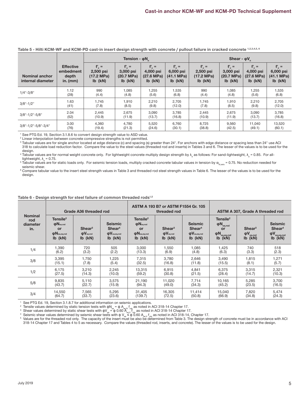|                                            |                                                      | Tension - $\phi N_n$                               |                                                  |                                                              |                                                            | Shear - $\phi V_n$                                     |                                                              |                                                              |                                                        |  |  |
|--------------------------------------------|------------------------------------------------------|----------------------------------------------------|--------------------------------------------------|--------------------------------------------------------------|------------------------------------------------------------|--------------------------------------------------------|--------------------------------------------------------------|--------------------------------------------------------------|--------------------------------------------------------|--|--|
| <b>Nominal anchor</b><br>internal diameter | <b>Effective</b><br>embedment<br>depth<br>in. $(mm)$ | $f'_{c}$ =<br>2,500 psi<br>(17.2 MPa)<br>$Ib$ (kN) | $f_c' =$<br>3,000 psi<br>(20.7 MPa)<br>$Ib$ (kN) | $f'_{c}$ =<br>4,000 psi<br>$(27.6 \text{ MPa})$<br>$Ib$ (kN) | $f_c' =$<br>6,000 psi<br>$(41.1 \text{ MPa})$<br>$lb$ (kN) | $f'_{c}$ =<br>2,500 psi<br>(17.2 MPa)<br>$Ib$ ( $kN$ ) | $f'_{c}$ =<br>3,000 psi<br>$(20.7 \text{ MPa})$<br>$Ib$ (kN) | $f'_{c}$ =<br>4,000 psi<br>$(27.6 \text{ MPa})$<br>$Ib$ (kN) | $f'_{c}$ =<br>6,000 psi<br>(41.1 MPa)<br>$Ib$ ( $kN$ ) |  |  |
| $1/4$ "-3/8"                               | 1.12                                                 | 990                                                | 1,085                                            | 1,255                                                        | 1,535                                                      | 990                                                    | 1,085                                                        | 1,255                                                        | 1,535                                                  |  |  |
|                                            | (28)                                                 | (4.4)                                              | (4.8)                                            | (5.6)                                                        | (6.8)                                                      | (4.4)                                                  | (4.8)                                                        | (5.6)                                                        | (6.8)                                                  |  |  |
| $3/8" - 1/2"$                              | 1.63                                                 | 1,745                                              | 1,910                                            | 2,210                                                        | 2,705                                                      | 1,745                                                  | 1,910                                                        | 2,210                                                        | 2,705                                                  |  |  |
|                                            | (41)                                                 | (7.8)                                              | (8.5)                                            | (9.8)                                                        | (12.0)                                                     | (7.8)                                                  | (8.5)                                                        | (9.8)                                                        | (12.0)                                                 |  |  |
| $3/8" - 1/2" - 5/8"$                       | 2.04                                                 | 2,445                                              | 2,675                                            | 3,090                                                        | 3,785                                                      | 2,445                                                  | 2,675                                                        | 3,090                                                        | 3,785                                                  |  |  |
|                                            | (52)                                                 | (10.9)                                             | (11.9)                                           | (13.7)                                                       | (16.8)                                                     | (10.9)                                                 | (11.9)                                                       | (13.7)                                                       | (16.8)                                                 |  |  |
| 3/8"-1/2"-5/8"-3/4"                        | 3.00                                                 | 4,360                                              | 4,780                                            | 5,520                                                        | 6.760                                                      | 8,725                                                  | 9,560                                                        | 11.040                                                       | 13,520                                                 |  |  |
|                                            | (76)                                                 | (19.4)                                             | (21.3)                                           | (24.6)                                                       | (30.1)                                                     | (38.8)                                                 | (42.5)                                                       | (49.1)                                                       | (60.1)                                                 |  |  |

### **Table 5 - Hilti KCM-WF and KCM-PD cast-in insert design strength with concrete / pullout failure in cracked concrete 1,2,3,4,5, 6**

<sup>1</sup> See PTG Ed. 19, Section 3.1.8.6 to convert design strength value to ASD value.

2 Linear interpolation between concrete compressive strengths is not permitted.

<sup>3</sup> Tabular values are for single anchor located at edge distance (c) and spacing (s) greater than 24". For anchors with edge distance or spacing less than 24" use ACI 318 to calculate load reduction factor. Compare the value to the steel values (threaded rod and inserts) in Tables 3 and 6. The lesser of the values is to be used for the design.

 $^4$  Tabular values are for normal weight concrete only. For lightweight concrete multiply design strength by  $\lambda_{\rm a}$  as follows: For sand-lightweight,  $\lambda_{\rm a} = 0.85$ . For alllightweight,  $\lambda_a = 0.75$ .

 $^5$  Tabular values are for static loads only. For seismic tension loads, multiply cracked concrete tabular values in tension by  $\alpha_{\text{\tiny N,seis}}$  = 0.75. No reduction needed for seismic shear.

<sup>6</sup> Compare tabular value to the insert steel strength values in Table 3 and threaded rod steel strength values in Table 6. The lesser of the values is to be used for the design.

|                                          | Grade A36 threaded rod                                                                       |                                                                        |                                                                                      |                                                                                                | ASTM A 193 B7 or ASTM F1554 Gr. 105<br>threaded rod                    |                                                                                             | ASTM A 307, Grade A threaded rod                                                                                                                               |                                                              |                                      |  |
|------------------------------------------|----------------------------------------------------------------------------------------------|------------------------------------------------------------------------|--------------------------------------------------------------------------------------|------------------------------------------------------------------------------------------------|------------------------------------------------------------------------|---------------------------------------------------------------------------------------------|----------------------------------------------------------------------------------------------------------------------------------------------------------------|--------------------------------------------------------------|--------------------------------------|--|
| <b>Nominal</b><br>rod<br>diameter<br>in. | Tensile <sup>2</sup><br>$\phi$ N <sub>sa,rod</sub><br>or<br>$\phi$ Nsa, eq, rod<br>$lb$ (kN) | Shear <sup>3</sup><br>$\mathbf{\Phi V}_{\mathrm{sa,rod}}$<br>$Ib$ (kN) | <b>Seismic</b><br>Shear <sup>4</sup><br>$\mathbf{\Phi V}$ sa,eq,rod<br>$lb$ ( $kN$ ) | Tensile <sup>2</sup><br>$\phi$ Nsa,rod<br>or<br>$\phi$ N <sub>sa,eq,rod</sub><br>$Ib$ ( $kN$ ) | Shear <sup>3</sup><br>$\mathbf{\Phi V}_{\mathrm{sa,rod}}$<br>$Ib$ (kN) | <b>Seismic</b><br>Shear <sup>4</sup><br>$\mathbf{\Phi V}_{\mathrm{sa,eq,rod}}$<br>$Ib$ (kN) | Tensile <sup>2</sup><br>φN<br>sa,rod<br>or<br>$\left(\begin{matrix} \phi N \end{matrix}\right)$ a, eq, rod<br>Ib $\left(\begin{matrix} KN \end{matrix}\right)$ | Shear <sup>3</sup><br>$\phi V_{\rm sa,rod}$<br>$Ib$ ( $KN$ ) | <b>Seismic</b><br>Shear <sup>4</sup> |  |
| 1/4                                      | 1,390                                                                                        | 720                                                                    | 505                                                                                  | 3,000                                                                                          | 1,550                                                                  | 1,085                                                                                       | 1,425                                                                                                                                                          | 740                                                          | 518                                  |  |
|                                          | (6.2)                                                                                        | (3.2)                                                                  | (2.2)                                                                                | (13.3)                                                                                         | (6.9)                                                                  | (4.8)                                                                                       | (6.3)                                                                                                                                                          | (3.3)                                                        | (2.3)                                |  |
| 3/8                                      | 3,395                                                                                        | 1,750                                                                  | 1,225                                                                                | 7,315                                                                                          | 3,780                                                                  | 2,646                                                                                       | 3,490                                                                                                                                                          | 1,815                                                        | 1,271                                |  |
|                                          | (15.1)                                                                                       | (7.8)                                                                  | (5.4)                                                                                | (32.5)                                                                                         | (16.8)                                                                 | (11.8)                                                                                      | (15.5)                                                                                                                                                         | (8.1)                                                        | (5.7)                                |  |
| 1/2                                      | 6,175                                                                                        | 3,210                                                                  | 2,245                                                                                | 13,315                                                                                         | 6,915                                                                  | 4,841                                                                                       | 6,375                                                                                                                                                          | 3,315                                                        | 2,321                                |  |
|                                          | (27.5)                                                                                       | (14.3)                                                                 | (10.0)                                                                               | (59.2)                                                                                         | (30.8)                                                                 | (21.5)                                                                                      | (28.4)                                                                                                                                                         | (14.7)                                                       | (10.3)                               |  |
| 5/8                                      | 9,835                                                                                        | 5,110                                                                  | 3,575                                                                                | 21,190                                                                                         | 11,020                                                                 | 7,714                                                                                       | 10,165                                                                                                                                                         | 5,285                                                        | 3,700                                |  |
|                                          | (43.7)                                                                                       | (22.7)                                                                 | (15.9)                                                                               | (94.3)                                                                                         | (49.0)                                                                 | (34.3)                                                                                      | (45.2)                                                                                                                                                         | (23.5)                                                       | (16.5)                               |  |
| 3/4                                      | 14,550                                                                                       | 7,565                                                                  | 5,295                                                                                | 31,405                                                                                         | 16,305                                                                 | 11,414                                                                                      | 15,040                                                                                                                                                         | 7,820                                                        | 5,474                                |  |
|                                          | (64.7)                                                                                       | (33.7)                                                                 | (23.6)                                                                               | (139.7)                                                                                        | (72.5)                                                                 | (50.8)                                                                                      | (66.9)                                                                                                                                                         | (34.8)                                                       | (24.3)                               |  |

#### Table 6 - Design strength for steel failure of common threaded rods<sup>1,5</sup>

<sup>1</sup> See PTG Ed. 19, Section 3.1.8.7 for additional information on seismic applications.

 $^2$  Tensile values determined by static tension tests with φN $_{\rm sa}$  = φ A $_{\rm saN}$  ( $_{\rm da}$  as noted in ACI 318-14 Chapter 17.<br>3. Shear values determined by static shear tests with φN = φ 0.60 Å = f = as noted in ACI 31

 $\frac{3}{3}$  Shear values determined by static shear tests with  $\phi V_{\rm ss} = \phi \ 0.60 \ A_{\rm s, v} \frac{V_{\rm gas}}{V_{\rm gas}}$  as noted in ACI 318-14 Chapter 17.<br>4. Sejemic shear values determined by sejemic shear tests with φ V = φ 0.60 A =

4 Seismic shear values determined by seismic shear tests with φ V.a ≤ φ 0.60 A.<sub>eeV</sub> f<sub>ula</sub> as noted in ACl 318-14, Chapter 17.<br><sup>5</sup> Values are for the threaded rod only. The capacity of the insert must be also be determi 318-14 Chapter 17 and Tables 4 to 5 as necessary. Compare the values (threaded rod, inserts, and concrete). The lesser of the values is to be used for the design.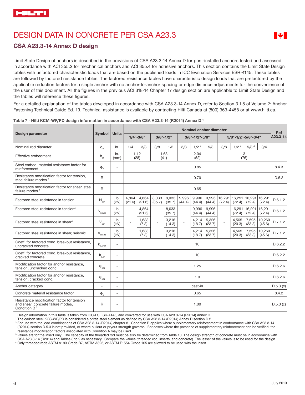# DESIGN DATA IN CONCRETE PER CSA A23.3



### **CSA A23.3-14 Annex D design**

Limit State Design of anchors is described in the provisions of CSA A23.3-14 Annex D for post-installed anchors tested and assessed in accordance with ACI 355.2 for mechanical anchors and ACI 355.4 for adhesive anchors. This section contains the Limit State Design tables with unfactored characteristic loads that are based on the published loads in ICC Evaluation Services ESR-4145. These tables are followed by factored resistance tables. The factored resistance tables have characteristic design loads that are prefactored by the applicable reduction factors for a single anchor with no anchor-to-anchor spacing or edge distance adjustments for the convenience of the user of this document. All the figures in the previous ACI 318-14 Chapter 17 design section are applicable to Limit State Design and the tables will reference these figures.

For a detailed explanation of the tables developed in accordance with CSA A23.3-14 Annex D, refer to Section 3.1.8 of Volume 2: Anchor Fastening Technical Guide Ed. 19. Technical assistance is available by contacting Hilti Canada at (800) 363-4458 or at www.hilti.ca.

|                                                                                                              |                                         | <b>Units</b>             |                 |                 |                 |                 |                 | Nominal anchor diameter |                 |        |                         |                  |                         | Ref      |
|--------------------------------------------------------------------------------------------------------------|-----------------------------------------|--------------------------|-----------------|-----------------|-----------------|-----------------|-----------------|-------------------------|-----------------|--------|-------------------------|------------------|-------------------------|----------|
| Design parameter                                                                                             | <b>Symbol</b>                           |                          |                 | $1/4" - 3/8"$   | $3/8" - 1/2"$   |                 |                 | 3/8"-1/2"-5/8"          |                 |        | 3/8"-1/2"-5/8"-3/4"     |                  |                         | A23.3-14 |
| Nominal rod diameter                                                                                         | $d_{a}$                                 | in.                      | 1/4             | 3/8             | 3/8             | 1/2             | 3/8             | 1/2 <sup>4</sup>        | 5/8             | 3/8    | 1/2 <sup>4</sup>        | 5/8 <sup>4</sup> | 3/4                     |          |
| Effective embedment                                                                                          | $h_{\text{ef}}$                         | in.<br>(mm)              |                 | 1.12<br>(28)    |                 | 1.63<br>(41)    |                 | 2.04<br>(52)            |                 |        |                         | 3<br>(76)        |                         |          |
| Steel embed, material resistance factor for<br>reinforcement                                                 | $\Phi_{\rm s}$                          | $\overline{a}$           |                 |                 |                 |                 |                 | 0.85                    |                 |        |                         |                  |                         | 8.4.3    |
| Resistance modification factor for tension,<br>steel failure modes <sup>2</sup>                              | R                                       | $\overline{\phantom{a}}$ | 0.70            |                 |                 |                 |                 |                         |                 | D.5.3  |                         |                  |                         |          |
| Resistance modification factor for shear, steel<br>failure modes <sup>2</sup>                                | $\mathsf{R}$                            | $\overline{\phantom{a}}$ |                 | 0.65            |                 |                 |                 |                         |                 |        |                         |                  |                         |          |
| Factored steel resistance in tension                                                                         | $N_{\rm sar}$                           | lb<br>(KN)               | 4,864<br>(21.6) | 4,864<br>(21.6) | 8,033<br>(35.7) | 8,033<br>(35.7) | 9,996<br>(44.4) | 9,996<br>(44.4)         | 9,996<br>(44.4) | (72.4) | 16,291 16,291<br>(72.4) | (72.4)           | 16,291 16,291<br>(72.4) | D.6.1.2  |
| Factored steel resistance in tension <sup>4</sup>                                                            | $\mathsf{N}_{\mathsf{sar},\mathsf{eq}}$ | $\mathsf{lb}$<br>(KN)    |                 | 4.864<br>(21.6) |                 | 8.033<br>(35.7) |                 | 9.996<br>(44.4)         | 9.996<br>(44.4) |        | 16,291<br>(72.4)        | 16,291<br>(72.4) | 16,291<br>(72.4)        | D.6.1.2  |
| Factored steel resistance in shear <sup>4</sup>                                                              | $V_{\text{sar}}$                        | $\mathsf{lb}$<br>(kN)    |                 | 1,633<br>(7.3)  | $\overline{a}$  | 3,216<br>(14.3) |                 | 4,214<br>(18.7)         | 5,326<br>(23.7) |        | 4,565<br>(20.3)         | 7,595<br>(33.8)  | 10,260<br>(45.6)        | D.7.1.2  |
| Factored steel resistance in shear, seismic                                                                  | $V_{\text{sar,eq}}$                     | Ib<br>(KN)               |                 | 1.633<br>(7.3)  |                 | 3,216<br>(14.3) |                 | 4,214<br>(18.7)         | 5,326<br>(23.7) |        | 4,565<br>(20.3)         | 7.595<br>(33.8)  | 10,260<br>(45.6)        | D.7.1.2  |
| Coeff, for factored conc. breakout resistance.<br>uncracked concrete                                         | $\mathsf{k}_{_{\rm c,uncr}}$            | $\overline{a}$           |                 |                 |                 |                 |                 | 10                      |                 |        |                         |                  |                         | D.6.2.2  |
| Coeff. for factored conc. breakout resistance,<br>cracked concrete                                           | $\mathsf{k}_{\text{\tiny c,cr}}$        | $\overline{\phantom{a}}$ |                 |                 |                 |                 |                 | 10                      |                 |        |                         |                  |                         | D.6.2.2  |
| Modification factor for anchor resistance,<br>tension, uncracked conc.                                       | $\Psi_{c,N}$                            | $\overline{a}$           |                 |                 |                 |                 |                 | 1.25                    |                 |        |                         |                  |                         | D.6.2.6  |
| Modification factor for anchor resistance,<br>tension, cracked conc.                                         | $\Psi_{c,N}$                            | $\overline{\phantom{a}}$ | 1.0             |                 |                 |                 |                 | D.6.2.6                 |                 |        |                         |                  |                         |          |
| Anchor category                                                                                              | $\overline{a}$                          | $\overline{\phantom{a}}$ |                 | cast-in         |                 |                 |                 |                         |                 |        | D.5.3(c)                |                  |                         |          |
| Concrete material resistance factor                                                                          | $\Phi_{\rm c}$                          | $\overline{\phantom{a}}$ |                 |                 |                 |                 |                 | 0.65                    |                 |        |                         |                  |                         | 8.4.2    |
| Resistance modification factor for tension<br>and shear, concrete failure modes,<br>Condition B <sup>3</sup> | R                                       | $\overline{\phantom{a}}$ |                 | 1.00            |                 |                 |                 |                         | D.5.3(c)        |        |                         |                  |                         |          |

**Table 7 - Hilti KCM-WF/PD design information in accordance with CSA A23.3-14 (R2014) Annex D 1**

1 Design information in this table is taken from ICC-ES ESR-4145, and converted for use with CSA A23.3-14 (R2014) Annex D.

2 The carbon steel KCS-WF/PD is considered a brittle steel element as defined by CSA A23.3-14 (R2014) Annex D section D.2.

<sup>3</sup> For use with the load combinations of CSA A23.3-14 (R2014) chapter 8. Condition B applies where supplementary reinforcement in conformance with CSA A23.3-14 (R2014) section D.5.3 is not provided, or where pullout or pryout strength governs. For cases where the presence of supplementary reinforcement can be verified, the resistance modification factors associated with Condition A may be used.

<sup>3</sup> Values are for the insert only. The capacity of the threaded rod must be also be determined from Table 10. The design strength of concrete must be in accordance with CSA A23.3-14 (R2014) and Tables 8 to 9 as necessary. Compare the values (threaded rod, inserts, and concrete). The lesser of the values is to be used for the design.

4 Only threaded rods ASTM A193 Grade B7, ASTM A325, or ASTM F1554 Grade 105 are allowed to be used with the insert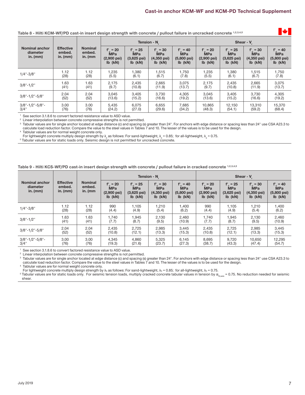### **Table 8 - Hilti KCM-WF/PD cast-in insert design strength with concrete / pullout failure in uncracked concrete 1,2,3,4,5**

|                                                 |                                          |                                        |                                                                     |                                                                   | Tension - N.                                                       |                                                                   | Shear - V.                                                        |                                                                   |                                                                    |                                                        |  |
|-------------------------------------------------|------------------------------------------|----------------------------------------|---------------------------------------------------------------------|-------------------------------------------------------------------|--------------------------------------------------------------------|-------------------------------------------------------------------|-------------------------------------------------------------------|-------------------------------------------------------------------|--------------------------------------------------------------------|--------------------------------------------------------|--|
| <b>Nominal anchor</b><br>diameter<br>in. $(mm)$ | <b>Effective</b><br>embed.<br>in. $(mm)$ | <b>Nominal</b><br>embed.<br>in. $(mm)$ | $f'_c = 20$<br><b>MPa</b><br>$(2,900 \text{ psi})$<br>$Ib$ ( $KN$ ) | $f'_{c}$ = 25<br><b>MPa</b><br>$(3,625 \text{ psi})$<br>$Ib$ (kN) | $f'_{c} = 30$<br><b>MPa</b><br>$(4,350 \,\text{psi})$<br>$lb$ (kN) | $f'_{c} = 40$<br><b>MPa</b><br>$(5,800 \text{ psi})$<br>$Ib$ (kN) | $f'_{c} = 20$<br><b>MPa</b><br>$(2,900 \text{ psi})$<br>$Ib$ (kN) | $f'_{c}$ = 25<br><b>MPa</b><br>$(3,625 \text{ psi})$<br>$Ib$ (kN) | $f'_{c} = 30$<br><b>MPa</b><br>$(4,350 \,\text{psi})$<br>$Ib$ (kN) | $f' = 40$<br>MPa<br>$(5,800 \text{ psi})$<br>$Ib$ (kN) |  |
| $1/4$ "-3/8"                                    | 1.12                                     | 1.12                                   | 1,235                                                               | 1,380                                                             | 1,515                                                              | 1,750                                                             | 1,235                                                             | 1,380                                                             | 1,515                                                              | 1,750                                                  |  |
|                                                 | (28)                                     | (28)                                   | (5.5)                                                               | (6.1)                                                             | (6.7)                                                              | (7.8)                                                             | (5.5)                                                             | (6.1)                                                             | (6.7)                                                              | (7.8)                                                  |  |
| $3/8" - 1/2"$                                   | 1.63                                     | 1.63                                   | 2,175                                                               | 2,435                                                             | 2,665                                                              | 3.075                                                             | 2,175                                                             | 2,435                                                             | 2,665                                                              | 3,075                                                  |  |
|                                                 | (41)                                     | (41)                                   | (9.7)                                                               | (10.8)                                                            | (11.9)                                                             | (13.7)                                                            | (9.7)                                                             | (10.8)                                                            | (11.9)                                                             | (13.7)                                                 |  |
| $3/8" - 1/2" - 5/8"$                            | 2.04                                     | 2.04                                   | 3,045                                                               | 3,405                                                             | 3,730                                                              | 4,305                                                             | 3,045                                                             | 3,405                                                             | 3,730                                                              | 4,305                                                  |  |
|                                                 | (52)                                     | (52)                                   | (13.6)                                                              | (15.2)                                                            | (16.6)                                                             | (19.2)                                                            | (13.6)                                                            | (15.2)                                                            | (16.6)                                                             | (19.2)                                                 |  |
| 3/8"-1/2"-5/8"-                                 | 3.00                                     | 3.00                                   | 5,435                                                               | 6,075                                                             | 6,655                                                              | 7,685                                                             | 10,865                                                            | 12,150                                                            | 13,310                                                             | 15,370                                                 |  |
| 3/4"                                            | (76)                                     | (76)                                   | (24.2)                                                              | (27.0)                                                            | (29.6)                                                             | (34.2)                                                            | (48.3)                                                            | (54.1)                                                            | (59.2)                                                             | (68.4)                                                 |  |

1 See section 3.1.8.6 to convert factored resistance value to ASD value.

<sup>2</sup> Linear interpolation between concrete compressive strengths is not permitted.

<sup>3</sup> Tabular values are for single anchor located at edge distance (c) and spacing (s) greater than 24". For anchors with edge distance or spacing less than 24" use CSA A23.3 to calculate load reduction factor. Compare the value to the steel values in Tables 7 and 10. The lesser of the values is to be used for the design.

4 Tablular values are for normal weight concrete only.

For lightweight concrete multiply design strength by  $\lambda_{\rm a}$  as follows: For sand-lightweight,  $\lambda_{\rm a}$  = 0.85; for all-lightweight,  $\lambda_{\rm a}$  = 0.75.

<sup>5</sup> Tabular values are for static loads only. Seismic design is not permitted for uncracked concrete.

#### **Table 9 - Hilti KCS-WF/PD cast-in insert design strength with concrete / pullout failure in cracked concrete 1,2,3,4,5**

|                                                 |                                          |                                        |                                                                     |                                                                     | Tension - N                                                      |                                                                 | Shear - V                                                       |                                                                   |                                                                   |                                                        |  |
|-------------------------------------------------|------------------------------------------|----------------------------------------|---------------------------------------------------------------------|---------------------------------------------------------------------|------------------------------------------------------------------|-----------------------------------------------------------------|-----------------------------------------------------------------|-------------------------------------------------------------------|-------------------------------------------------------------------|--------------------------------------------------------|--|
| <b>Nominal anchor</b><br>diameter<br>in. $(mm)$ | <b>Effective</b><br>embed.<br>in. $(mm)$ | <b>Nominal</b><br>embed.<br>in. $(mm)$ | $f_c' = 20$<br><b>MPa</b><br>$(2,900 \text{ psi})$<br>$Ib$ ( $kN$ ) | $f'_c = 25$<br><b>MPa</b><br>$(3,625 \text{ psi})$<br>$Ib$ ( $kN$ ) | $f'_c = 30$<br><b>MPa</b><br>$(4,350 \,\text{psi})$<br>$Ib$ (kN) | $f_c' = 40$<br><b>MPa</b><br>$(5,800 \text{ psi})$<br>$Ib$ (kN) | $f'_c = 20$<br><b>MPa</b><br>$(2,900 \text{ psi})$<br>$Ib$ (kN) | $f'_{c} = 25$<br><b>MPa</b><br>$(3,625 \text{ psi})$<br>$Ib$ (kN) | $f'_{c} = 30$<br><b>MPa</b><br>$(4,350 \text{ psi})$<br>$Ib$ (kN) | $f' = 40$<br>MPa<br>$(5,800 \text{ psi})$<br>$Ib$ (kN) |  |
| $1/4" - 3/8"$                                   | 1.12                                     | 1.12                                   | 990                                                                 | 1,105                                                               | 1,210                                                            | 1,400                                                           | 990                                                             | 1,105                                                             | 1,210                                                             | 1,400                                                  |  |
|                                                 | (28)                                     | (28)                                   | (4.4)                                                               | (4.9)                                                               | (5.4)                                                            | (6.2)                                                           | (4.4)                                                           | (4.9)                                                             | (5.4)                                                             | (6.2)                                                  |  |
| $3/8" - 1/2"$                                   | 1.63                                     | 1.63                                   | 1,740                                                               | 1,945                                                               | 2,130                                                            | 2,460                                                           | 1,740                                                           | 1,945                                                             | 2,130                                                             | 2,460                                                  |  |
|                                                 | (41)                                     | (41)                                   | (7.7)                                                               | (8.7)                                                               | (9.5)                                                            | (10.9)                                                          | (7.7)                                                           | (8.7)                                                             | (9.5)                                                             | (10.9)                                                 |  |
| $3/8" - 1/2" - 5/8"$                            | 2.04                                     | 2.04                                   | 2,435                                                               | 2,725                                                               | 2,985                                                            | 3,445                                                           | 2,435                                                           | 2,725                                                             | 2,985                                                             | 3,445                                                  |  |
|                                                 | (52)                                     | (52)                                   | (10.8)                                                              | (12.1)                                                              | (13.3)                                                           | (15.3)                                                          | (10.8)                                                          | (12.1)                                                            | (13.3)                                                            | (15.3)                                                 |  |
| 3/8"-1/2"-5/8"-                                 | 3.00                                     | 3.00                                   | 4,345                                                               | 4,860                                                               | 5,325                                                            | 6,145                                                           | 8,695                                                           | 9,720                                                             | 10,650                                                            | 12,295                                                 |  |
| $3/4$ "                                         | (76)                                     | (76)                                   | (19.3)                                                              | (21.6)                                                              | (23.7)                                                           | (27.3)                                                          | (38.7)                                                          | (43.3)                                                            | (47.4)                                                            | (54.7)                                                 |  |

1 See section 3.1.8.6 to convert factored resistance value to ASD value.

<sup>2</sup> Linear interpolation between concrete compressive strengths is not permitted.

<sup>3</sup> Tabular values are for single anchor located at edge distance (c) and spacing (s) greater than 24". For anchors with edge distance or spacing less than 24" use CSA A23.3 to calculate load reduction factor. Compare the value to the steel values in Tables 7 and 10. The lesser of the values is to be used for the design.

4 Tablular values are for normal weight concrete only.

For lightweight concrete multiply design strength by λa as follows: For sand-lightweight, λa = 0.85; for all-lightweight, λa = 0.75.

 $5$  Tabular values are for static loads only. For seismic tension loads, multiply cracked concrete tabular values in tension by  $\alpha_{N,\rm{sels}} = 0.75$ . No reduction needed for seismic shear.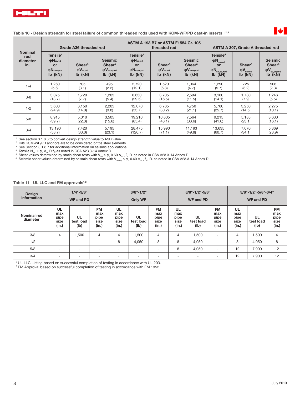

### **Table 10 - Design strength for steel failure of common threaded rods used with KCM-WF/PD cast-in inserts 1,2,3**

| Grade A36 threaded rod                   |                                                                                              |                                                             |                                                                                                            | ASTM A 193 B7 or ASTM F1554 Gr. 105<br>threaded rod                                                                        |                                                                                | ASTM A 307, Grade A threaded rod                                                 |                                                                                                      |                                                              |                                                                                                                                                   |
|------------------------------------------|----------------------------------------------------------------------------------------------|-------------------------------------------------------------|------------------------------------------------------------------------------------------------------------|----------------------------------------------------------------------------------------------------------------------------|--------------------------------------------------------------------------------|----------------------------------------------------------------------------------|------------------------------------------------------------------------------------------------------|--------------------------------------------------------------|---------------------------------------------------------------------------------------------------------------------------------------------------|
| <b>Nominal</b><br>rod<br>diameter<br>in. | Tensile <sup>4</sup><br>$\phi$ N <sub>sa,rod</sub><br>or<br>$\phi$ Nsa, eq, rod<br>$Ib$ (kN) | Shear <sup>5</sup><br>$\phi V_{\text{sa,rod}}$<br>$Ib$ (kN) | <b>Seismic</b><br><b>Shear</b> <sup>6</sup><br>$\mathbf{\Phi}\mathbf{V}_{\mathrm{sa,eq,rod}}$<br>$Ib$ (kN) | Tensile <sup>4</sup><br>$\phi$ N <sub>sa,rod</sub><br><b>or</b><br>$\mathbf{\Phi}$ N <sub>sa,eq,rod</sub><br>$Ib$ ( $kN$ ) | Shear <sup>5</sup><br>$\mathbf{\Phi}\mathbf{V}_{\mathrm{sa,rod}}$<br>$Ib$ (kN) | <b>Seismic</b><br><b>Shear</b> <sup>6</sup><br>$\phi V_{sa,eq,rod}$<br>$Ib$ (kN) | Tensile <sup>4</sup><br>$\phi N_{\rm sa,rod}$<br>or<br>$\varphi N_{\mathrm{sa,eq,rod}}$<br>Ib $(kN)$ | Shear <sup>5</sup><br>$\phi V_{\rm sa,rod}$<br>$Ib$ ( $KN$ ) | <b>Seismic</b><br>Shear <sup>6</sup><br>$\left(\begin{matrix} \phi V \ \phi \end{matrix}\right)$ is $\left(\begin{matrix} kN \end{matrix}\right)$ |
| 1/4                                      | 1,260                                                                                        | 705                                                         | 495                                                                                                        | 2,720                                                                                                                      | 1,520                                                                          | 1,064                                                                            | 1,290                                                                                                | 725                                                          | 508                                                                                                                                               |
|                                          | (5.6)                                                                                        | (3.1)                                                       | (2.2)                                                                                                      | (12.1)                                                                                                                     | (6.8)                                                                          | (4.7)                                                                            | (5.7)                                                                                                | (3.2)                                                        | (2.3)                                                                                                                                             |
| 3/8                                      | 3,075                                                                                        | 1,720                                                       | 1,205                                                                                                      | 6,630                                                                                                                      | 3,705                                                                          | 2,594                                                                            | 3,160                                                                                                | 1,780                                                        | 1,246                                                                                                                                             |
|                                          | (13.7)                                                                                       | (7.7)                                                       | (5.4)                                                                                                      | (29.5)                                                                                                                     | (16.5)                                                                         | (11.5)                                                                           | (14.1)                                                                                               | (7.9)                                                        | (5.5)                                                                                                                                             |
| 1/2                                      | 5,600                                                                                        | 3,150                                                       | 2,205                                                                                                      | 12,070                                                                                                                     | 6,785                                                                          | 4,750                                                                            | 5,780                                                                                                | 3,250                                                        | 2,275                                                                                                                                             |
|                                          | (24.9)                                                                                       | (14.0)                                                      | (9.8)                                                                                                      | (53.7)                                                                                                                     | (30.2)                                                                         | (21.1)                                                                           | (25.7)                                                                                               | (14.5)                                                       | (10.1)                                                                                                                                            |
| 5/8                                      | 8,915                                                                                        | 5,010                                                       | 3,505                                                                                                      | 19,210                                                                                                                     | 10,805                                                                         | 7,564                                                                            | 9,215                                                                                                | 5,185                                                        | 3,630                                                                                                                                             |
|                                          | (39.7)                                                                                       | (22.3)                                                      | (15.6)                                                                                                     | (85.4)                                                                                                                     | (48.1)                                                                         | (33.6)                                                                           | (41.0)                                                                                               | (23.1)                                                       | (16.1)                                                                                                                                            |
| 3/4                                      | 13,190                                                                                       | 7,420                                                       | 5,195                                                                                                      | 28.475                                                                                                                     | 15,990                                                                         | 11.193                                                                           | 13,635                                                                                               | 7,670                                                        | 5,369                                                                                                                                             |
|                                          | (58.7)                                                                                       | (33.0)                                                      | (23.1)                                                                                                     | (126.7)                                                                                                                    | (71.1)                                                                         | (49.8)                                                                           | (60.7)                                                                                               | (34.1)                                                       | (23.9)                                                                                                                                            |

<sup>1</sup> See section 3.1.8.6 to convert design strength value to ASD value.<br><sup>2</sup> Hilti KCM-WE/PD anchors are to be considered brittle steel elemen

<sup>2</sup> Hilti KCM-WF/PD anchors are to be considered brittle steel elements

<sup>3</sup> See Section 3.1.8.7 for additional information on seismic applications.

Tensile  $N_{\text{sar}} = \phi_{\text{s}} A_{\text{se}} R$  f<sub>ut</sub> as noted in CSA A23.3-14 Annex D.

<sup>5</sup> Shear values determined by static shear tests with V<sub>sar</sub> <  $\phi_{\rm s}$  0.60 A<sub>se.v</sub> f<sub>ut</sub> R. as noted in CSA A23.3-14 Annex D.<br><sup>6</sup> Seismic shear values determined by seismic shear tests with V<sub>sar,eq</sub> <  $\phi_{\rm s}$  0.60 A

Table 11 - UL LLC and FM approvals<sup>1,2</sup>

| <b>Design</b>           | $1/4" - 3/8"$                      |                                |                                           | $3/8" - 1/2"$                      |                          |                                           |                                    | $3/8" - 1/2" - 5/8"$     |                                           | 3/8"-1/2"-5/8"-3/4"                |                         |                                           |  |
|-------------------------|------------------------------------|--------------------------------|-------------------------------------------|------------------------------------|--------------------------|-------------------------------------------|------------------------------------|--------------------------|-------------------------------------------|------------------------------------|-------------------------|-------------------------------------------|--|
| information             |                                    | <b>WF and PD</b>               |                                           | Only WF                            |                          |                                           |                                    | <b>WF and PD</b>         |                                           | <b>WF and PD</b>                   |                         |                                           |  |
| Nominal rod<br>diameter | UL<br>max<br>pipe<br>size<br>(in.) | <b>UL</b><br>test load<br>(Ib) | <b>FM</b><br>max<br>pipe<br>size<br>(in.) | UL<br>max<br>pipe<br>size<br>(in.) | UL<br>test load<br>(lb)  | <b>FM</b><br>max<br>pipe<br>size<br>(in.) | UL<br>max<br>pipe<br>size<br>(in.) | UL<br>test load<br>(1b)  | <b>FM</b><br>max<br>pipe<br>size<br>(in.) | UL<br>max<br>pipe<br>size<br>(in.) | UL<br>test load<br>(1b) | <b>FM</b><br>max<br>pipe<br>size<br>(in.) |  |
| 3/8                     | $\overline{4}$                     | .500                           | 4                                         | 4                                  | 1.500                    | 4                                         | 4                                  | 1.500                    |                                           | 4                                  | 1,500                   | $\overline{4}$                            |  |
| 1/2                     | $\overline{\phantom{a}}$           | $\overline{\phantom{a}}$       | $\overline{\phantom{a}}$                  | 8                                  | 4,050                    | 8                                         | 8                                  | 4,050                    |                                           | 8                                  | 4,050                   | 8                                         |  |
| 5/8                     | $\overline{\phantom{a}}$           | $\overline{\phantom{a}}$       | $\overline{\phantom{a}}$                  |                                    | $\overline{\phantom{a}}$ | $\overline{\phantom{a}}$                  | 8                                  | 4,050                    |                                           | 12                                 | 7,900                   | 12                                        |  |
| 3/4                     | $\overline{\phantom{a}}$           |                                | $\overline{\phantom{a}}$                  |                                    | ۰                        | $\overline{\phantom{a}}$                  | -                                  | $\overline{\phantom{a}}$ |                                           | 12                                 | 7,900                   | 12                                        |  |

<sup>1</sup> UL LLC Listing based on successful completion of testing in accordance with UL 203.

2 FM Approval based on successful completion of testing in accordance with FM 1952.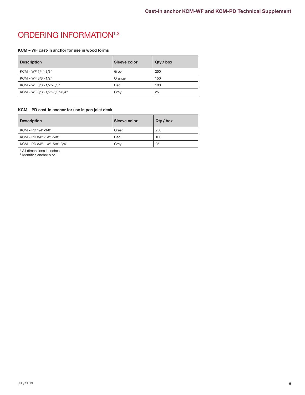# ORDERING INFORMATION<sup>1,2</sup>

### **KCM – WF cast-in anchor for use in wood forms**

| <b>Description</b>           | Sleeve color | Qty / box |
|------------------------------|--------------|-----------|
| KCM - WF 1/4"-3/8"           | Green        | 250       |
| KCM - WF 3/8"-1/2"           | Orange       | 150       |
| KCM - WF 3/8"-1/2"-5/8"      | Red          | 100       |
| KCM - WF 3/8"-1/2"-5/8"-3/4" | Grey         | 25        |

### **KCM – PD cast-in anchor for use in pan joist deck**

| <b>Description</b>           | Sleeve color | Qty / box |
|------------------------------|--------------|-----------|
| KCM - PD 1/4"-3/8"           | Green        | 250       |
| KCM - PD 3/8"-1/2"-5/8"      | Red          | 100       |
| KCM - PD 3/8"-1/2"-5/8"-3/4" | Grev         | 25        |

1 All dimensions in inches 2 Identifies anchor size